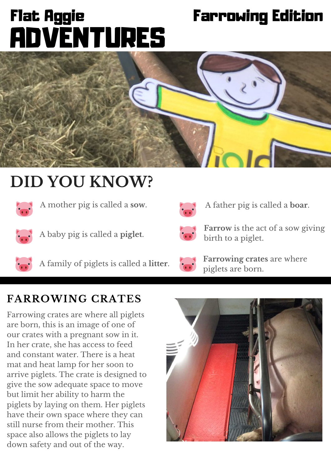# **O c t o b e r** Flat Aggie Farrowing Edition ADVENTURES



# **DID YOU KNOW?**



A mother pig is called a **sow**. A father pig is called a **boar**.



A baby pig is called a **piglet**.



A family of piglets is called a **litter**.





**Farrow** is the act of a sow giving birth to a piglet.



**Farrowing crates** are where piglets are born.

### **FARROWING CRATES**

Farrowing crates are where all piglets are born, this is an image of one of our crates with a pregnant sow in it. In her crate, she has access to feed and constant water. There is a heat mat and heat lamp for her soon to arrive piglets. The crate is designed to give the sow adequate space to move but limit her ability to harm the piglets by laying on them. Her piglets have their own space where they can still nurse from their mother. This space also allows the piglets to lay down safety and out of the way.